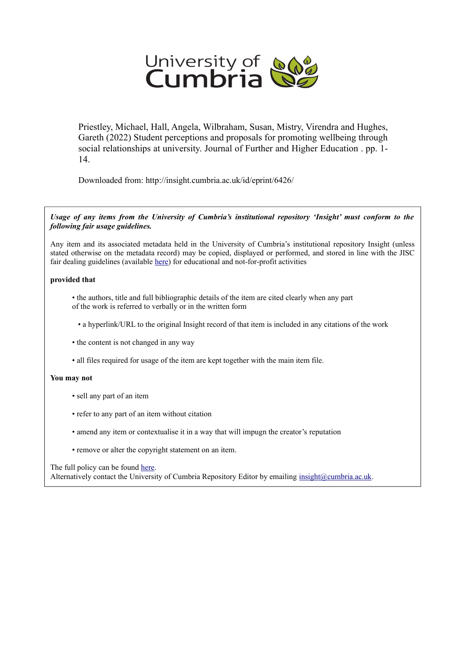

Priestley, Michael, Hall, Angela, Wilbraham, Susan, Mistry, Virendra and Hughes, Gareth (2022) Student perceptions and proposals for promoting wellbeing through social relationships at university. Journal of Further and Higher Education . pp. 1- 14.

Downloaded from: http://insight.cumbria.ac.uk/id/eprint/6426/

*Usage of any items from the University of Cumbria's institutional repository 'Insight' must conform to the following fair usage guidelines.*

Any item and its associated metadata held in the University of Cumbria's institutional repository Insight (unless stated otherwise on the metadata record) may be copied, displayed or performed, and stored in line with the JISC fair dealing guidelines (available [here\)](http://www.ukoln.ac.uk/services/elib/papers/pa/fair/) for educational and not-for-profit activities

# **provided that**

• the authors, title and full bibliographic details of the item are cited clearly when any part of the work is referred to verbally or in the written form

• a hyperlink/URL to the original Insight record of that item is included in any citations of the work

- the content is not changed in any way
- all files required for usage of the item are kept together with the main item file.

# **You may not**

- sell any part of an item
- refer to any part of an item without citation
- amend any item or contextualise it in a way that will impugn the creator's reputation
- remove or alter the copyright statement on an item.

# The full policy can be found [here.](http://insight.cumbria.ac.uk/legal.html#section5)

Alternatively contact the University of Cumbria Repository Editor by emailing [insight@cumbria.ac.uk.](mailto:insight@cumbria.ac.uk)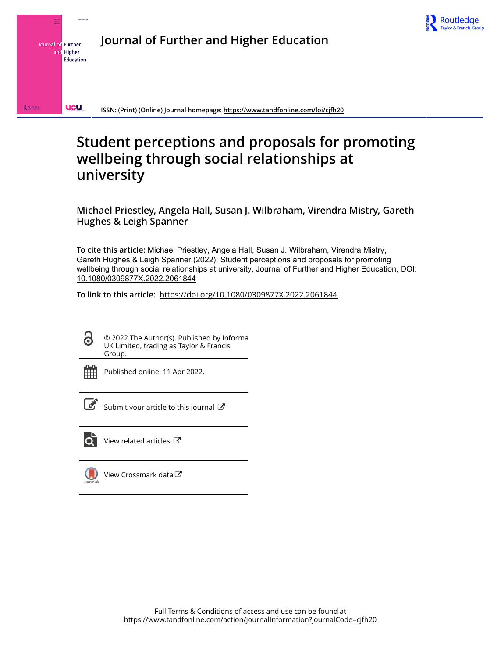

**Journal of Further and Higher Education**



**ISSN: (Print) (Online) Journal homepage:<https://www.tandfonline.com/loi/cjfh20>**

# **Student perceptions and proposals for promoting wellbeing through social relationships at university**

**Michael Priestley, Angela Hall, Susan J. Wilbraham, Virendra Mistry, Gareth Hughes & Leigh Spanner**

**To cite this article:** Michael Priestley, Angela Hall, Susan J. Wilbraham, Virendra Mistry, Gareth Hughes & Leigh Spanner (2022): Student perceptions and proposals for promoting wellbeing through social relationships at university, Journal of Further and Higher Education, DOI: [10.1080/0309877X.2022.2061844](https://www.tandfonline.com/action/showCitFormats?doi=10.1080/0309877X.2022.2061844)

**To link to this article:** <https://doi.org/10.1080/0309877X.2022.2061844>

ര

© 2022 The Author(s). Published by Informa UK Limited, trading as Taylor & Francis Group.



Published online: 11 Apr 2022.



 $\overrightarrow{S}$  [Submit your article to this journal](https://www.tandfonline.com/action/authorSubmission?journalCode=cjfh20&show=instructions)  $\overrightarrow{S}$ 



[View related articles](https://www.tandfonline.com/doi/mlt/10.1080/0309877X.2022.2061844)  $\mathbb{Z}$ 



[View Crossmark data](http://crossmark.crossref.org/dialog/?doi=10.1080/0309877X.2022.2061844&domain=pdf&date_stamp=2022-04-11)<sup>C</sup>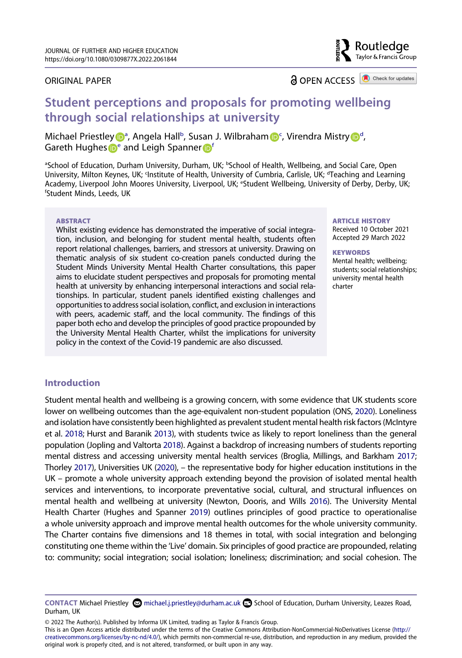#### ORIGINAL PAPER

**a** OPEN ACCESS **a** Check for updates

Routledae Taylor & Francis Group

# **Student perceptions and proposals for promoting wellbeing through social relationships at university**

Michael Priestle[y](http://orcid.org/0000-0002-4830-3022) **D**<sup>[a](#page-2-0)</sup>, Angela Hall<sup>b</sup>, Susan J. Wi[lb](#page-2-0)raha[m](http://orcid.org/0000-0001-8512-0041) D<sup>[c](#page-2-1)</sup>, Viren[d](#page-2-1)ra Mistry D<sup>d</sup>, Ga[r](http://orcid.org/0000-0003-4782-187X)eth Hughes **D**<sup>e</sup> and Leigh Spanner **D**<sup>[f](#page-2-3)</sup>

<span id="page-2-3"></span><span id="page-2-2"></span><span id="page-2-1"></span><span id="page-2-0"></span><sup>a</sup>School of Education, Durham University, Durham, UK; <sup>b</sup>School of Health, Wellbeing, and Social Care, Open University, Milton Keynes, UK; <sup>c</sup>Institute of Health, University of Cumbria, Carlisle, UK; <sup>d</sup>Teaching and Learning Academy, Liverpool John Moores University, Liverpool, UK; <sup>e</sup>Student Wellbeing, University of Derby, Derby, UK;<br><sup>fStudent Minds Leeds LIK</sup> Student Minds, Leeds, UK

#### **ABSTRACT**

Whilst existing evidence has demonstrated the imperative of social integration, inclusion, and belonging for student mental health, students often report relational challenges, barriers, and stressors at university. Drawing on thematic analysis of six student co-creation panels conducted during the Student Minds University Mental Health Charter consultations, this paper aims to elucidate student perspectives and proposals for promoting mental health at university by enhancing interpersonal interactions and social relationships. In particular, student panels identified existing challenges and opportunities to address social isolation, conflict, and exclusion in interactions with peers, academic staff, and the local community. The findings of this paper both echo and develop the principles of good practice propounded by the University Mental Health Charter, whilst the implications for university policy in the context of the Covid-19 pandemic are also discussed.

#### **ARTICLE HISTORY**  Received 10 October 2021

Accepted 29 March 2022

#### **KEYWORDS**

Mental health; wellbeing; students; social relationships; university mental health charter

# **Introduction**

<span id="page-2-10"></span><span id="page-2-9"></span><span id="page-2-8"></span><span id="page-2-7"></span><span id="page-2-6"></span><span id="page-2-4"></span>Student mental health and wellbeing is a growing concern, with some evidence that UK students score lower on wellbeing outcomes than the age-equivalent non-student population (ONS, [2020](#page-14-0)). Loneliness and isolation have consistently been highlighted as prevalent student mental health risk factors (McIntyre et al. [2018](#page-14-1); Hurst and Baranik [2013](#page-14-2)), with students twice as likely to report loneliness than the general population (Jopling and Valtorta [2018](#page-14-3)). Against a backdrop of increasing numbers of students reporting mental distress and accessing university mental health services (Broglia, Millings, and Barkham [2017](#page-13-0); Thorley [2017](#page-15-0)), Universities UK ([2020](#page-15-1)), – the representative body for higher education institutions in the UK – promote a whole university approach extending beyond the provision of isolated mental health services and interventions, to incorporate preventative social, cultural, and structural influences on mental health and wellbeing at university (Newton, Dooris, and Wills [2016\)](#page-14-4). The University Mental Health Charter (Hughes and Spanner [2019](#page-13-1)) outlines principles of good practice to operationalise a whole university approach and improve mental health outcomes for the whole university community. The Charter contains five dimensions and 18 themes in total, with social integration and belonging constituting one theme within the 'Live' domain. Six principles of good practice are propounded, relating to: community; social integration; social isolation; loneliness; discrimination; and social cohesion. The

© 2022 The Author(s). Published by Informa UK Limited, trading as Taylor & Francis Group.

This is an Open Access article distributed under the terms of the Creative Commons Attribution-NonCommercial-NoDerivatives License (http:// creativecommons.org/licenses/by-nc-nd/4.0/), which permits non-commercial re-use, distribution, and reproduction in any medium, provided the original work is properly cited, and is not altered, transformed, or built upon in any way.

<span id="page-2-5"></span>CONTACT Michael Priestley **S** michael.j.priestley@durham.ac.uk **S** School of Education, Durham University, Leazes Road, Durham, UK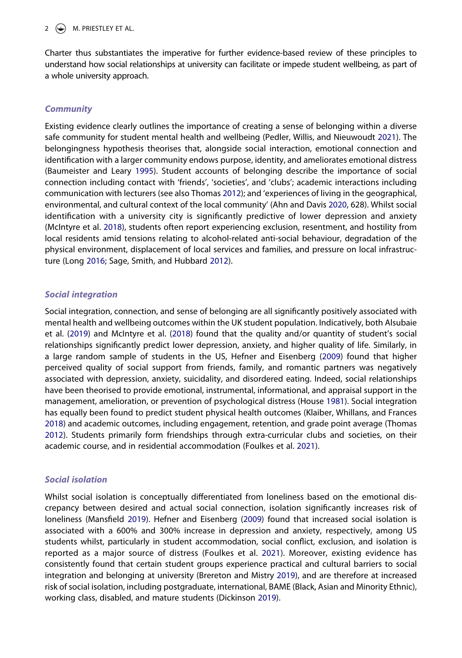# 2  $\left(\rightarrow\right)$  M. PRIESTLEY ET AL.

Charter thus substantiates the imperative for further evidence-based review of these principles to understand how social relationships at university can facilitate or impede student wellbeing, as part of a whole university approach.

# *Community*

<span id="page-3-10"></span><span id="page-3-2"></span><span id="page-3-0"></span>Existing evidence clearly outlines the importance of creating a sense of belonging within a diverse safe community for student mental health and wellbeing (Pedler, Willis, and Nieuwoudt [2021](#page-14-5)). The belongingness hypothesis theorises that, alongside social interaction, emotional connection and identification with a larger community endows purpose, identity, and ameliorates emotional distress (Baumeister and Leary [1995\)](#page-13-2). Student accounts of belonging describe the importance of social connection including contact with 'friends', 'societies', and 'clubs'; academic interactions including communication with lecturers (see also Thomas [2012](#page-15-2)); and 'experiences of living in the geographical, environmental, and cultural context of the local community' (Ahn and Davis [2020](#page-12-0), 628). Whilst social identification with a university city is significantly predictive of lower depression and anxiety (McIntyre et al. [2018](#page-14-1)), students often report experiencing exclusion, resentment, and hostility from local residents amid tensions relating to alcohol-related anti-social behaviour, degradation of the physical environment, displacement of local services and families, and pressure on local infrastructure (Long [2016](#page-14-6); Sage, Smith, and Hubbard [2012\)](#page-15-3).

# <span id="page-3-9"></span>*Social integration*

<span id="page-3-1"></span>Social integration, connection, and sense of belonging are all significantly positively associated with mental health and wellbeing outcomes within the UK student population. Indicatively, both Alsubaie et al. [\(2019\)](#page-12-1) and McIntyre et al. ([2018](#page-14-1)) found that the quality and/or quantity of student's social relationships significantly predict lower depression, anxiety, and higher quality of life. Similarly, in a large random sample of students in the US, Hefner and Eisenberg [\(2009\)](#page-13-3) found that higher perceived quality of social support from friends, family, and romantic partners was negatively associated with depression, anxiety, suicidality, and disordered eating. Indeed, social relationships have been theorised to provide emotional, instrumental, informational, and appraisal support in the management, amelioration, or prevention of psychological distress (House [1981](#page-13-4)). Social integration has equally been found to predict student physical health outcomes (Klaiber, Whillans, and Frances [2018\)](#page-14-7) and academic outcomes, including engagement, retention, and grade point average (Thomas [2012\)](#page-15-2). Students primarily form friendships through extra-curricular clubs and societies, on their academic course, and in residential accommodation (Foulkes et al. [2021\)](#page-13-5).

# <span id="page-3-11"></span><span id="page-3-8"></span><span id="page-3-7"></span>*Social isolation*

<span id="page-3-6"></span><span id="page-3-5"></span><span id="page-3-4"></span><span id="page-3-3"></span>Whilst social isolation is conceptually differentiated from loneliness based on the emotional discrepancy between desired and actual social connection, isolation significantly increases risk of loneliness (Mansfield [2019\)](#page-14-8). Hefner and Eisenberg ([2009](#page-13-3)) found that increased social isolation is associated with a 600% and 300% increase in depression and anxiety, respectively, among US students whilst, particularly in student accommodation, social conflict, exclusion, and isolation is reported as a major source of distress (Foulkes et al. [2021\)](#page-13-5). Moreover, existing evidence has consistently found that certain student groups experience practical and cultural barriers to social integration and belonging at university (Brereton and Mistry [2019](#page-13-6)), and are therefore at increased risk of social isolation, including postgraduate, international, BAME (Black, Asian and Minority Ethnic), working class, disabled, and mature students (Dickinson [2019](#page-13-7)).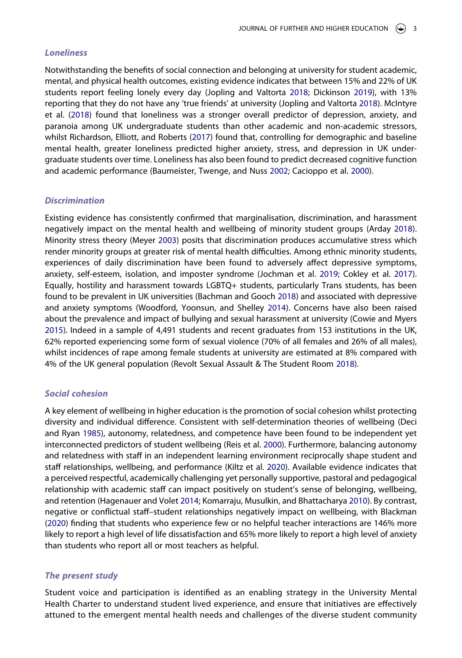#### *Loneliness*

<span id="page-4-12"></span>Notwithstanding the benefits of social connection and belonging at university for student academic, mental, and physical health outcomes, existing evidence indicates that between 15% and 22% of UK students report feeling lonely every day (Jopling and Valtorta [2018](#page-14-3); Dickinson [2019\)](#page-13-7), with 13% reporting that they do not have any 'true friends' at university (Jopling and Valtorta [2018](#page-14-3)). McIntyre et al. ([2018](#page-14-1)) found that loneliness was a stronger overall predictor of depression, anxiety, and paranoia among UK undergraduate students than other academic and non-academic stressors, whilst Richardson, Elliott, and Roberts [\(2017\)](#page-15-4) found that, controlling for demographic and baseline mental health, greater loneliness predicted higher anxiety, stress, and depression in UK undergraduate students over time. Loneliness has also been found to predict decreased cognitive function and academic performance (Baumeister, Twenge, and Nuss [2002;](#page-13-8) Cacioppo et al. [2000](#page-13-9)).

#### <span id="page-4-2"></span>*Discrimination*

<span id="page-4-13"></span><span id="page-4-9"></span><span id="page-4-4"></span><span id="page-4-1"></span><span id="page-4-0"></span>Existing evidence has consistently confirmed that marginalisation, discrimination, and harassment negatively impact on the mental health and wellbeing of minority student groups (Arday [2018\)](#page-13-10). Minority stress theory (Meyer [2003\)](#page-14-9) posits that discrimination produces accumulative stress which render minority groups at greater risk of mental health difficulties. Among ethnic minority students, experiences of daily discrimination have been found to adversely affect depressive symptoms, anxiety, self-esteem, isolation, and imposter syndrome (Jochman et al. [2019;](#page-14-10) Cokley et al. [2017\)](#page-13-11). Equally, hostility and harassment towards LGBTQ+ students, particularly Trans students, has been found to be prevalent in UK universities (Bachman and Gooch [2018](#page-13-12)) and associated with depressive and anxiety symptoms (Woodford, Yoonsun, and Shelley [2014](#page-15-5)). Concerns have also been raised about the prevalence and impact of bullying and sexual harassment at university (Cowie and Myers [2015\)](#page-13-13). Indeed in a sample of 4,491 students and recent graduates from 153 institutions in the UK, 62% reported experiencing some form of sexual violence (70% of all females and 26% of all males), whilst incidences of rape among female students at university are estimated at 8% compared with 4% of the UK general population (Revolt Sexual Assault & The Student Room [2018\)](#page-15-6).

#### <span id="page-4-11"></span><span id="page-4-5"></span>*Social cohesion*

<span id="page-4-10"></span><span id="page-4-8"></span><span id="page-4-6"></span>A key element of wellbeing in higher education is the promotion of social cohesion whilst protecting diversity and individual difference. Consistent with self-determination theories of wellbeing (Deci and Ryan [1985\)](#page-13-14), autonomy, relatedness, and competence have been found to be independent yet interconnected predictors of student wellbeing (Reis et al. [2000\)](#page-14-11). Furthermore, balancing autonomy and relatedness with staff in an independent learning environment reciprocally shape student and staff relationships, wellbeing, and performance (Kiltz et al. [2020\)](#page-14-12). Available evidence indicates that a perceived respectful, academically challenging yet personally supportive, pastoral and pedagogical relationship with academic staff can impact positively on student's sense of belonging, wellbeing, and retention (Hagenauer and Volet [2014](#page-13-15); Komarraju, Musulkin, and Bhattacharya [2010](#page-14-13)). By contrast, negative or conflictual staff–student relationships negatively impact on wellbeing, with Blackman ([2020](#page-13-16)) finding that students who experience few or no helpful teacher interactions are 146% more likely to report a high level of life dissatisfaction and 65% more likely to report a high level of anxiety than students who report all or most teachers as helpful.

#### <span id="page-4-7"></span><span id="page-4-3"></span>*The present study*

Student voice and participation is identified as an enabling strategy in the University Mental Health Charter to understand student lived experience, and ensure that initiatives are effectively attuned to the emergent mental health needs and challenges of the diverse student community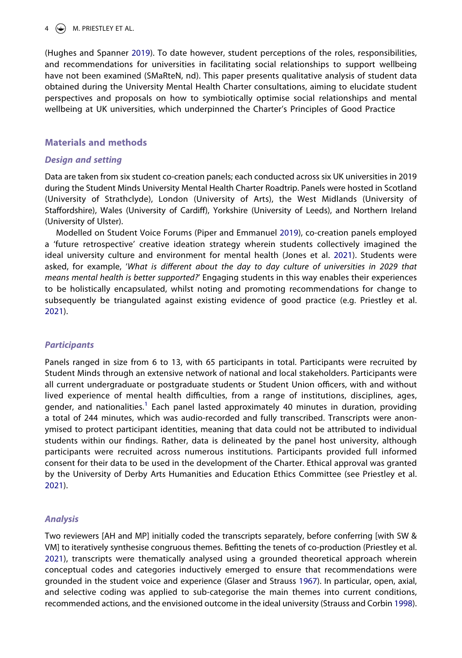# $\left(\begin{matrix}4\end{matrix}\right)$  M. PRIESTLEY ET AL.

(Hughes and Spanner [2019](#page-13-1)). To date however, student perceptions of the roles, responsibilities, and recommendations for universities in facilitating social relationships to support wellbeing have not been examined (SMaRteN, nd). This paper presents qualitative analysis of student data obtained during the University Mental Health Charter consultations, aiming to elucidate student perspectives and proposals on how to symbiotically optimise social relationships and mental wellbeing at UK universities, which underpinned the Charter's Principles of Good Practice

#### **Materials and methods**

#### *Design and setting*

Data are taken from six student co-creation panels; each conducted across six UK universities in 2019 during the Student Minds University Mental Health Charter Roadtrip. Panels were hosted in Scotland (University of Strathclyde), London (University of Arts), the West Midlands (University of Staffordshire), Wales (University of Cardiff), Yorkshire (University of Leeds), and Northern Ireland (University of Ulster).

<span id="page-5-2"></span><span id="page-5-1"></span>Modelled on Student Voice Forums (Piper and Emmanuel [2019\)](#page-14-14), co-creation panels employed a 'future retrospective' creative ideation strategy wherein students collectively imagined the ideal university culture and environment for mental health (Jones et al. [2021](#page-14-15)). Students were asked, for example, '*What is different about the day to day culture of universities in 2029 that means mental health is better supported?*' Engaging students in this way enables their experiences to be holistically encapsulated, whilst noting and promoting recommendations for change to subsequently be triangulated against existing evidence of good practice (e.g. Priestley et al. [2021\)](#page-14-16).

#### *Participants*

Panels ranged in size from 6 to 13, with 65 participants in total. Participants were recruited by Student Minds through an extensive network of national and local stakeholders. Participants were all current undergraduate or postgraduate students or Student Union officers, with and without lived experience of mental health difficulties, from a range of institutions, disciplines, ages, gender, and nationalities.<sup>1</sup> Each panel lasted approximately 40 minutes in duration, providing a total of 244 minutes, which was audio-recorded and fully transcribed. Transcripts were anonymised to protect participant identities, meaning that data could not be attributed to individual students within our findings. Rather, data is delineated by the panel host university, although participants were recruited across numerous institutions. Participants provided full informed consent for their data to be used in the development of the Charter. Ethical approval was granted by the University of Derby Arts Humanities and Education Ethics Committee (see Priestley et al. [2021\)](#page-14-16).

#### *Analysis*

<span id="page-5-4"></span><span id="page-5-3"></span><span id="page-5-0"></span>Two reviewers [AH and MP] initially coded the transcripts separately, before conferring [with SW & VM] to iteratively synthesise congruous themes. Befitting the tenets of co-production (Priestley et al. [2021\)](#page-14-16), transcripts were thematically analysed using a grounded theoretical approach wherein conceptual codes and categories inductively emerged to ensure that recommendations were grounded in the student voice and experience (Glaser and Strauss [1967\)](#page-13-17). In particular, open, axial, and selective coding was applied to sub-categorise the main themes into current conditions, recommended actions, and the envisioned outcome in the ideal university (Strauss and Corbin [1998\)](#page-15-7).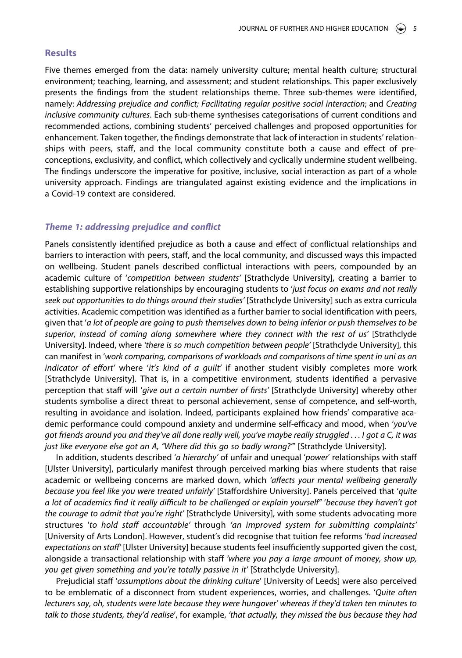#### **Results**

Five themes emerged from the data: namely university culture; mental health culture; structural environment; teaching, learning, and assessment; and student relationships. This paper exclusively presents the findings from the student relationships theme. Three sub-themes were identified, namely: *Addressing prejudice and conflict; Facilitating regular positive social interaction*; and *Creating inclusive community cultures*. Each sub-theme synthesises categorisations of current conditions and recommended actions, combining students' perceived challenges and proposed opportunities for enhancement. Taken together, the findings demonstrate that lack of interaction in students' relationships with peers, staff, and the local community constitute both a cause and effect of preconceptions, exclusivity, and conflict, which collectively and cyclically undermine student wellbeing. The findings underscore the imperative for positive, inclusive, social interaction as part of a whole university approach. Findings are triangulated against existing evidence and the implications in a Covid-19 context are considered.

#### *Theme 1: addressing prejudice and conflict*

Panels consistently identified prejudice as both a cause and effect of conflictual relationships and barriers to interaction with peers, staff, and the local community, and discussed ways this impacted on wellbeing. Student panels described conflictual interactions with peers, compounded by an academic culture of '*competition between students'* [Strathclyde University], creating a barrier to establishing supportive relationships by encouraging students to '*just focus on exams and not really seek out opportunities to do things around their studies'* [Strathclyde University] such as extra curricula activities. Academic competition was identified as a further barrier to social identification with peers, given that '*a lot of people are going to push themselves down to being inferior or push themselves to be superior, instead of coming along somewhere where they connect with the rest of us'* [Strathclyde University]. Indeed, where *'there is so much competition between people'* [Strathclyde University], this can manifest in '*work comparing, comparisons of workloads and comparisons of time spent in uni as an indicator of effort'* where '*it's kind of a guilt'* if another student visibly completes more work [Strathclyde University]. That is, in a competitive environment, students identified a pervasive perception that staff will '*give out a certain number of firsts'* [Strathclyde University] whereby other students symbolise a direct threat to personal achievement, sense of competence, and self-worth, resulting in avoidance and isolation. Indeed, participants explained how friends' comparative academic performance could compound anxiety and undermine self-efficacy and mood, when '*you've got friends around you and they've all done really well, you've maybe really struggled . . . I got a C, it was just like everyone else got an A, "Where did this go so badly wrong?"*' [Strathclyde University].

In addition, students described '*a hierarchy'* of unfair and unequal '*power*' relationships with staff [Ulster University], particularly manifest through perceived marking bias where students that raise academic or wellbeing concerns are marked down, which *'affects your mental wellbeing generally because you feel like you were treated unfairly'* [Staffordshire University]. Panels perceived that '*quite a lot of academics find it really difficult to be challenged or explain yourself"* '*because they haven't got the courage to admit that you're right'* [Strathclyde University], with some students advocating more structures '*to hold staff accountable'* through *'an improved system for submitting complaints'*  [University of Arts London]. However, student's did recognise that tuition fee reforms '*had increased expectations on staff'* [Ulster University] because students feel insufficiently supported given the cost, alongside a transactional relationship with staff *'where you pay a large amount of money, show up, you get given something and you're totally passive in it'* [Strathclyde University].

Prejudicial staff '*assumptions about the drinking culture*' [University of Leeds] were also perceived to be emblematic of a disconnect from student experiences, worries, and challenges. '*Quite often lecturers say, oh, students were late because they were hungover' whereas if they'd taken ten minutes to talk to those students, they'd realise*', for example, *'that actually, they missed the bus because they had*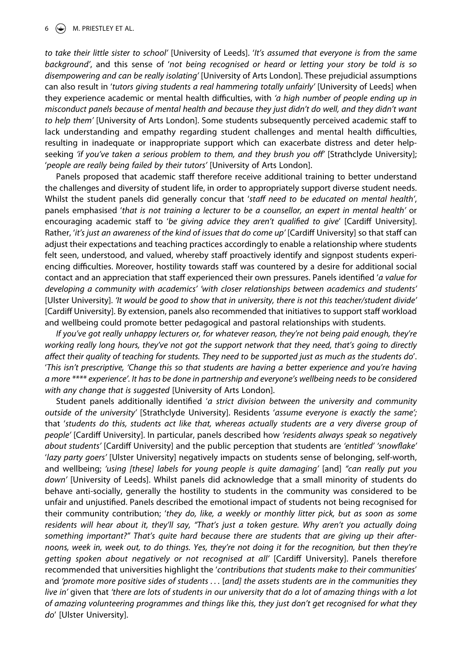#### $\left(\frac{1}{2}\right)$  M. PRIESTLEY ET AL.

*to take their little sister to school'* [University of Leeds]. '*It's assumed that everyone is from the same background'*, and this sense of '*not being recognised or heard or letting your story be told is so disempowering and can be really isolating'* [University of Arts London]. These prejudicial assumptions can also result in '*tutors giving students a real hammering totally unfairly'* [University of Leeds] when they experience academic or mental health difficulties, with *'a high number of people ending up in misconduct panels because of mental health and because they just didn't do well, and they didn't want*  to help them' [University of Arts London]. Some students subsequently perceived academic staff to lack understanding and empathy regarding student challenges and mental health difficulties, resulting in inadequate or inappropriate support which can exacerbate distress and deter helpseeking 'if you've taken a serious problem to them, and they brush you off' [Strathclyde University]; 'people are really being failed by their tutors' [University of Arts London].

Panels proposed that academic staff therefore receive additional training to better understand the challenges and diversity of student life, in order to appropriately support diverse student needs. Whilst the student panels did generally concur that '*staff need to be educated on mental health'*, panels emphasised '*that is not training a lecturer to be a counsellor, an expert in mental health'* or encouraging academic staff to '*be giving advice they aren't qualified to give*' [Cardiff University]. Rather, '*it's just an awareness of the kind of issues that do come up'* [Cardiff University] so that staff can adjust their expectations and teaching practices accordingly to enable a relationship where students felt seen, understood, and valued, whereby staff proactively identify and signpost students experiencing difficulties. Moreover, hostility towards staff was countered by a desire for additional social contact and an appreciation that staff experienced their own pressures. Panels identified '*a value for developing a community with academics' 'with closer relationships between academics and students'*  [Ulster University]. *'It would be good to show that in university, there is not this teacher/student divide'*  [Cardiff University]. By extension, panels also recommended that initiatives to support staff workload and wellbeing could promote better pedagogical and pastoral relationships with students.

*If you've got really unhappy lecturers or, for whatever reason, they're not being paid enough, they're working really long hours, they've not got the support network that they need, that's going to directly affect their quality of teaching for students. They need to be supported just as much as the students do*'. '*This isn't prescriptive, 'Change this so that students are having a better experience and you're having a more \*\*\*\* experience'. It has to be done in partnership and everyone's wellbeing needs to be considered with any change that is suggested* [University of Arts London].

Student panels additionally identified '*a strict division between the university and community outside of the university'* [Strathclyde University]. Residents '*assume everyone is exactly the same';*  that '*students do this, students act like that, whereas actually students are a very diverse group of people'* [Cardiff University]. In particular, panels described how *'residents always speak so negatively about students'* [Cardiff University] and the public perception that students are *'entitled' 'snowflake'*  '*lazy party goers'* [Ulster University] negatively impacts on students sense of belonging, self-worth, and wellbeing; *'using [these] labels for young people is quite damaging'* [and] *"can really put you down'* [University of Leeds]. Whilst panels did acknowledge that a small minority of students do behave anti-socially, generally the hostility to students in the community was considered to be unfair and unjustified. Panels described the emotional impact of students not being recognised for their community contribution; '*they do, like, a weekly or monthly litter pick, but as soon as some residents will hear about it, they'll say, "That's just a token gesture. Why aren't you actually doing something important?" That's quite hard because there are students that are giving up their afternoons, week in, week out, to do things. Yes, they're not doing it for the recognition, but then they're getting spoken about negatively or not recognised at all'* [Cardiff University]. Panels therefore recommended that universities highlight the '*contributions that students make to their communities*' and *'promote more positive sides of students . . .* [*and] the assets students are in the communities they live in'* given that *'there are lots of students in our university that do a lot of amazing things with a lot of amazing volunteering programmes and things like this, they just don't get recognised for what they do*' [Ulster University].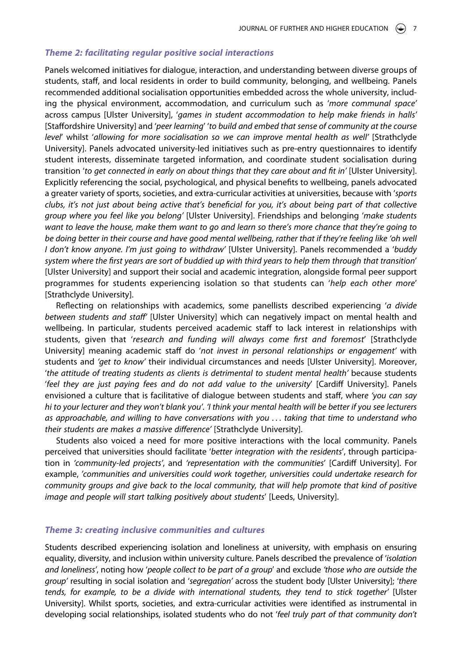#### *Theme 2: facilitating regular positive social interactions*

Panels welcomed initiatives for dialogue, interaction, and understanding between diverse groups of students, staff, and local residents in order to build community, belonging, and wellbeing. Panels recommended additional socialisation opportunities embedded across the whole university, including the physical environment, accommodation, and curriculum such as '*more communal space'*  across campus [Ulster University], '*games in student accommodation to help make friends in halls'*  [Staffordshire University] and '*peer learning*' '*to build and embed that sense of community at the course level*' whilst '*allowing for more socialisation so we can improve mental health as well'* [Strathclyde University]. Panels advocated university-led initiatives such as pre-entry questionnaires to identify student interests, disseminate targeted information, and coordinate student socialisation during transition 'to get connected in early on about things that they care about and fit in' [Ulster University]. Explicitly referencing the social, psychological, and physical benefits to wellbeing, panels advocated a greater variety of sports, societies, and extra-curricular activities at universities, because with '*sports clubs, it's not just about being active that's beneficial for you, it's about being part of that collective group where you feel like you belong'* [Ulster University]. Friendships and belonging '*make students want to leave the house, make them want to go and learn so there's more chance that they're going to*  be doing better in their course and have good mental wellbeing, rather that if they're feeling like 'oh well *I don't know anyone. I'm just going to withdraw'* [Ulster University]. Panels recommended a '*buddy system where the first years are sort of buddied up with third years to help them through that transition*' [Ulster University] and support their social and academic integration, alongside formal peer support programmes for students experiencing isolation so that students can '*help each other more*' [Strathclyde University].

Reflecting on relationships with academics, some panellists described experiencing '*a divide between students and staff'* [Ulster University] which can negatively impact on mental health and wellbeing. In particular, students perceived academic staff to lack interest in relationships with students, given that '*research and funding will always come first and foremost*' [Strathclyde University] meaning academic staff do '*not invest in personal relationships or engagement'* with students and *'get to know'* their individual circumstances and needs [Ulster University]. Moreover, '*the attitude of treating students as clients is detrimental to student mental health'* because students '*feel they are just paying fees and do not add value to the university*' [Cardiff University]. Panels envisioned a culture that is facilitative of dialogue between students and staff, wher*e 'you can say hi to your lecturer and they won't blank you'. 'I think your mental health will be better if you see lecturers as approachable, and willing to have conversations with you . . . taking that time to understand who their students are makes a massive difference'* [Strathclyde University].

Students also voiced a need for more positive interactions with the local community. Panels perceived that universities should facilitate '*better integration with the residents*', through participation in *'community-led projects'*, and *'representation with the communities*' [Cardiff University]. For example, *'communities and universities could work together, universities could undertake research for community groups and give back to the local community, that will help promote that kind of positive image and people will start talking positively about students*' [Leeds, University].

#### *Theme 3: creating inclusive communities and cultures*

Students described experiencing isolation and loneliness at university, with emphasis on ensuring equality, diversity, and inclusion within university culture. Panels described the prevalence of '*isolation and loneliness'*, noting how '*people collect to be part of a group*' and exclude *'those who are outside the group'* resulting in social isolation and '*segregation'* across the student body [Ulster University]; '*there tends, for example, to be a divide with international students, they tend to stick together'* [Ulster University]. Whilst sports, societies, and extra-curricular activities were identified as instrumental in developing social relationships, isolated students who do not '*feel truly part of that community don't*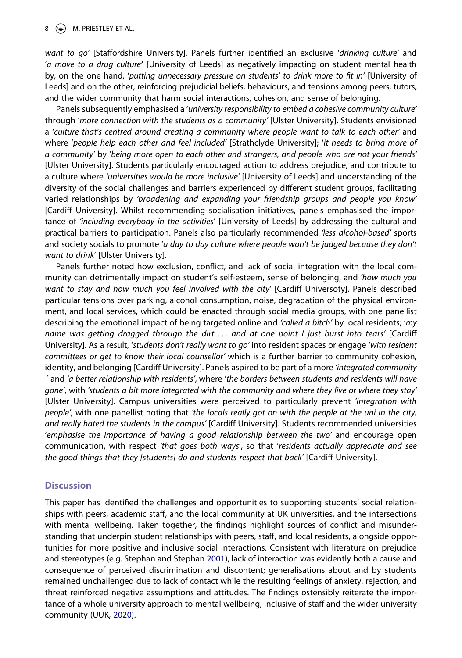#### $\circledast$  M. PRIESTLEY ET AL.

*want to go'* [Staffordshire University]. Panels further identified an exclusive '*drinking culture'* and '*a move to a drug culture'* [University of Leeds] as negatively impacting on student mental health by, on the one hand, '*putting unnecessary pressure on students' to drink more to fit in'* [University of Leeds] and on the other, reinforcing prejudicial beliefs, behaviours, and tensions among peers, tutors, and the wider community that harm social interactions, cohesion, and sense of belonging.

Panels subsequently emphasised a '*university responsibility to embed a cohesive community culture'*  through '*more connection with the students as a community'* [Ulster University]. Students envisioned a '*culture that's centred around creating a community where people want to talk to each other'* and where '*people help each other and feel included'* [Strathclyde University]; '*it needs to bring more of a community'* by '*being more open to each other and strangers, and people who are not your friends'*  [Ulster University]. Students particularly encouraged action to address prejudice, and contribute to a culture where *'universities would be more inclusive'* [University of Leeds] and understanding of the diversity of the social challenges and barriers experienced by different student groups, facilitating varied relationships by *'broadening and expanding your friendship groups and people you know'*  [Cardiff University]. Whilst recommending socialisation initiatives, panels emphasised the importance of *'including everybody in the activities*' [University of Leeds] by addressing the cultural and practical barriers to participation. Panels also particularly recommended *'less alcohol-based'* sports and society socials to promote '*a day to day culture where people won't be judged because they don't want to drink*' [Ulster University].

Panels further noted how exclusion, conflict, and lack of social integration with the local community can detrimentally impact on student's self-esteem, sense of belonging, and *'how much you*  want to stay and how much you feel involved with the city' [Cardiff Universoty]. Panels described particular tensions over parking, alcohol consumption, noise, degradation of the physical environment, and local services, which could be enacted through social media groups, with one panellist describing the emotional impact of being targeted online and *'called a bitch'* by local residents; '*my name was getting dragged through the dirt . . . and at one point I just burst into tears'* [Cardiff University]. As a result, '*students don't really want to go'* into resident spaces or engage '*with resident committees or get to know their local counsellor'* which is a further barrier to community cohesion, identity, and belonging [Cardiff University]. Panels aspired to be part of a more *'integrated community ´* and *'a better relationship with residents'*, where '*the borders between students and residents will have gone'*, with *'students a bit more integrated with the community and where they live or where they stay'*  [Ulster University]. Campus universities were perceived to particularly prevent *'integration with people'*, with one panellist noting that *'the locals really got on with the people at the uni in the city, and really hated the students in the campus'* [Cardiff University]. Students recommended universities '*emphasise the importance of having a good relationship between the two'* and encourage open communication, with respect *'that goes both ways*', so that '*residents actually appreciate and see the good things that they [students] do and students respect that back'* [Cardiff University].

#### **Discussion**

<span id="page-9-0"></span>This paper has identified the challenges and opportunities to supporting students' social relationships with peers, academic staff, and the local community at UK universities, and the intersections with mental wellbeing. Taken together, the findings highlight sources of conflict and misunderstanding that underpin student relationships with peers, staff, and local residents, alongside opportunities for more positive and inclusive social interactions. Consistent with literature on prejudice and stereotypes (e.g. Stephan and Stephan [2001](#page-15-8)), lack of interaction was evidently both a cause and consequence of perceived discrimination and discontent; generalisations about and by students remained unchallenged due to lack of contact while the resulting feelings of anxiety, rejection, and threat reinforced negative assumptions and attitudes. The findings ostensibly reiterate the importance of a whole university approach to mental wellbeing, inclusive of staff and the wider university community (UUK, [2020\)](#page-15-1).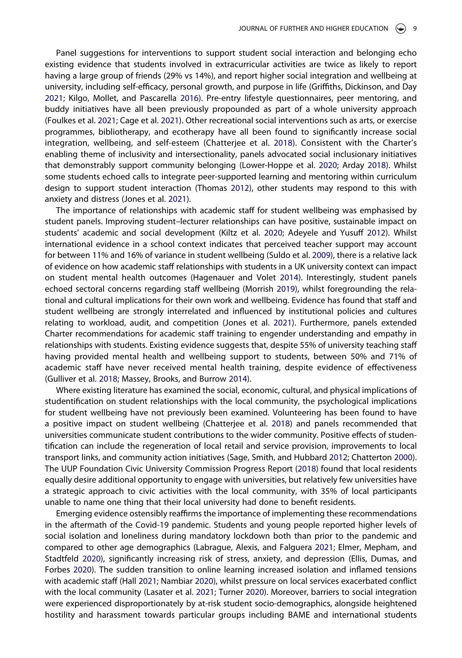<span id="page-10-10"></span><span id="page-10-7"></span><span id="page-10-2"></span>Panel suggestions for interventions to support student social interaction and belonging echo existing evidence that students involved in extracurricular activities are twice as likely to report having a large group of friends (29% vs 14%), and report higher social integration and wellbeing at university, including self-efficacy, personal growth, and purpose in life (Griffiths, Dickinson, and Day [2021;](#page-13-18) Kilgo, Mollet, and Pascarella [2016](#page-14-17)). Pre-entry lifestyle questionnaires, peer mentoring, and buddy initiatives have all been previously propounded as part of a whole university approach (Foulkes et al. [2021;](#page-13-5) Cage et al. [2021](#page-13-19)). Other recreational social interventions such as arts, or exercise programmes, bibliotherapy, and ecotherapy have all been found to significantly increase social integration, wellbeing, and self-esteem (Chatterjee et al. [2018](#page-13-20)). Consistent with the Charter's enabling theme of inclusivity and intersectionality, panels advocated social inclusionary initiatives that demonstrably support community belonging (Lower-Hoppe et al. [2020](#page-14-18); Arday [2018](#page-13-10)). Whilst some students echoed calls to integrate peer-supported learning and mentoring within curriculum design to support student interaction (Thomas [2012](#page-15-2)), other students may respond to this with anxiety and distress (Jones et al. [2021](#page-14-15)).

<span id="page-10-15"></span><span id="page-10-14"></span><span id="page-10-13"></span><span id="page-10-0"></span>The importance of relationships with academic staff for student wellbeing was emphasised by student panels. Improving student–lecturer relationships can have positive, sustainable impact on students' academic and social development (Kiltz et al. [2020;](#page-14-12) Adeyele and Yusuff [2012\)](#page-12-2). Whilst international evidence in a school context indicates that perceived teacher support may account for between 11% and 16% of variance in student wellbeing (Suldo et al. [2009](#page-15-9)), there is a relative lack of evidence on how academic staff relationships with students in a UK university context can impact on student mental health outcomes (Hagenauer and Volet [2014\)](#page-13-15). Interestingly, student panels echoed sectoral concerns regarding staff wellbeing (Morrish [2019](#page-14-19)), whilst foregrounding the relational and cultural implications for their own work and wellbeing. Evidence has found that staff and student wellbeing are strongly interrelated and influenced by institutional policies and cultures relating to workload, audit, and competition (Jones et al. [2021\)](#page-14-15). Furthermore, panels extended Charter recommendations for academic staff training to engender understanding and empathy in relationships with students. Existing evidence suggests that, despite 55% of university teaching staff having provided mental health and wellbeing support to students, between 50% and 71% of academic staff have never received mental health training, despite evidence of effectiveness (Gulliver et al. [2018](#page-13-21); Massey, Brooks, and Burrow [2014\)](#page-14-20).

<span id="page-10-8"></span><span id="page-10-3"></span>Where existing literature has examined the social, economic, cultural, and physical implications of studentification on student relationships with the local community, the psychological implications for student wellbeing have not previously been examined. Volunteering has been found to have a positive impact on student wellbeing (Chatterjee et al. [2018\)](#page-13-20) and panels recommended that universities communicate student contributions to the wider community. Positive effects of studentification can include the regeneration of local retail and service provision, improvements to local transport links, and community action initiatives (Sage, Smith, and Hubbard [2012](#page-15-3); Chatterton [2000\)](#page-13-22). The UUP Foundation Civic University Commission Progress Report [\(2018](#page-15-10)) found that local residents equally desire additional opportunity to engage with universities, but relatively few universities have a strategic approach to civic activities with the local community, with 35% of local participants unable to name one thing that their local university had done to benefit residents.

<span id="page-10-16"></span><span id="page-10-12"></span><span id="page-10-11"></span><span id="page-10-9"></span><span id="page-10-6"></span><span id="page-10-5"></span><span id="page-10-4"></span><span id="page-10-1"></span>Emerging evidence ostensibly reaffirms the importance of implementing these recommendations in the aftermath of the Covid-19 pandemic. Students and young people reported higher levels of social isolation and loneliness during mandatory lockdown both than prior to the pandemic and compared to other age demographics (Labrague, Alexis, and Falguera [2021](#page-14-21); Elmer, Mepham, and Stadtfeld [2020\)](#page-13-23), significantly increasing risk of stress, anxiety, and depression (Ellis, Dumas, and Forbes [2020\)](#page-13-24). The sudden transition to online learning increased isolation and inflamed tensions with academic staff (Hall [2021;](#page-13-25) Nambiar [2020\)](#page-14-22), whilst pressure on local services exacerbated conflict with the local community (Lasater et al. [2021;](#page-14-23) Turner [2020\)](#page-15-11). Moreover, barriers to social integration were experienced disproportionately by at-risk student socio-demographics, alongside heightened hostility and harassment towards particular groups including BAME and international students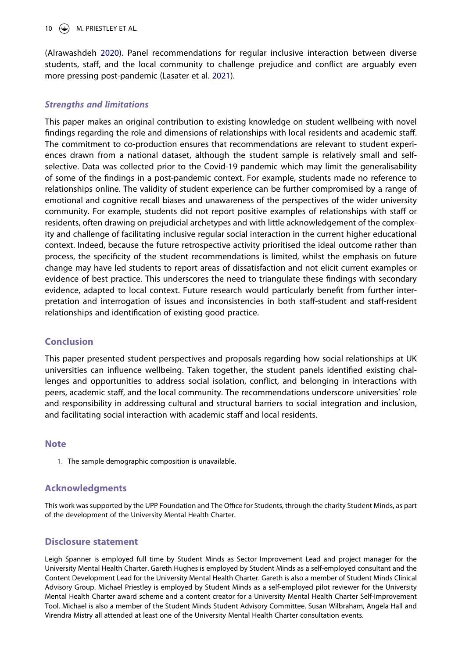#### 10  $\circledast$  M. PRIESTLEY ET AL.

(Alrawashdeh [2020](#page-12-3)). Panel recommendations for regular inclusive interaction between diverse students, staff, and the local community to challenge prejudice and conflict are arguably even more pressing post-pandemic (Lasater et al. [2021](#page-14-23)).

#### *Strengths and limitations*

This paper makes an original contribution to existing knowledge on student wellbeing with novel findings regarding the role and dimensions of relationships with local residents and academic staff. The commitment to co-production ensures that recommendations are relevant to student experiences drawn from a national dataset, although the student sample is relatively small and selfselective. Data was collected prior to the Covid-19 pandemic which may limit the generalisability of some of the findings in a post-pandemic context. For example, students made no reference to relationships online. The validity of student experience can be further compromised by a range of emotional and cognitive recall biases and unawareness of the perspectives of the wider university community. For example, students did not report positive examples of relationships with staff or residents, often drawing on prejudicial archetypes and with little acknowledgement of the complexity and challenge of facilitating inclusive regular social interaction in the current higher educational context. Indeed, because the future retrospective activity prioritised the ideal outcome rather than process, the specificity of the student recommendations is limited, whilst the emphasis on future change may have led students to report areas of dissatisfaction and not elicit current examples or evidence of best practice. This underscores the need to triangulate these findings with secondary evidence, adapted to local context. Future research would particularly benefit from further interpretation and interrogation of issues and inconsistencies in both staff-student and staff-resident relationships and identification of existing good practice.

# **Conclusion**

This paper presented student perspectives and proposals regarding how social relationships at UK universities can influence wellbeing. Taken together, the student panels identified existing challenges and opportunities to address social isolation, conflict, and belonging in interactions with peers, academic staff, and the local community. The recommendations underscore universities' role and responsibility in addressing cultural and structural barriers to social integration and inclusion, and facilitating social interaction with academic staff and local residents.

### **Note**

<span id="page-11-0"></span>1. The sample demographic composition is unavailable.

#### **Acknowledgments**

This work was supported by the UPP Foundation and The Office for Students, through the charity Student Minds, as part of the development of the University Mental Health Charter.

#### **Disclosure statement**

Leigh Spanner is employed full time by Student Minds as Sector Improvement Lead and project manager for the University Mental Health Charter. Gareth Hughes is employed by Student Minds as a self-employed consultant and the Content Development Lead for the University Mental Health Charter. Gareth is also a member of Student Minds Clinical Advisory Group. Michael Priestley is employed by Student Minds as a self-employed pilot reviewer for the University Mental Health Charter award scheme and a content creator for a University Mental Health Charter Self-Improvement Tool. Michael is also a member of the Student Minds Student Advisory Committee. Susan Wilbraham, Angela Hall and Virendra Mistry all attended at least one of the University Mental Health Charter consultation events.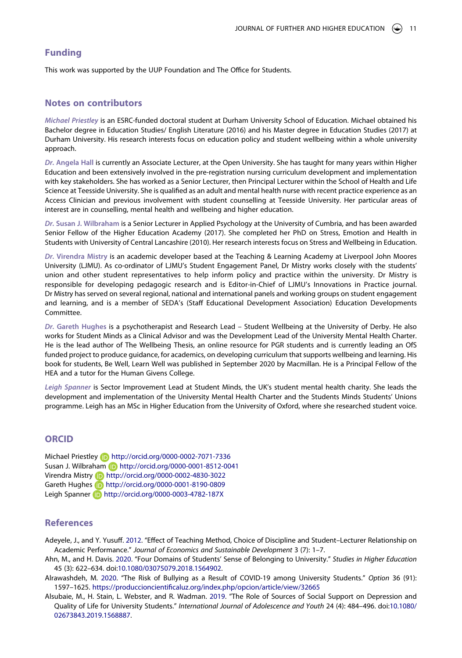#### **Funding**

This work was supported by the UUP Foundation and The Office for Students.

#### **Notes on contributors**

*Michael Priestley* is an ESRC-funded doctoral student at Durham University School of Education. Michael obtained his Bachelor degree in Education Studies/ English Literature (2016) and his Master degree in Education Studies (2017) at Durham University. His research interests focus on education policy and student wellbeing within a whole university approach.

*Dr.* **Angela Hall** is currently an Associate Lecturer, at the Open University. She has taught for many years within Higher Education and been extensively involved in the pre-registration nursing curriculum development and implementation with key stakeholders. She has worked as a Senior Lecturer, then Principal Lecturer within the School of Health and Life Science at Teesside University. She is qualified as an adult and mental health nurse with recent practice experience as an Access Clinician and previous involvement with student counselling at Teesside University. Her particular areas of interest are in counselling, mental health and wellbeing and higher education.

*Dr.* **Susan J. Wilbraham** is a Senior Lecturer in Applied Psychology at the University of Cumbria, and has been awarded Senior Fellow of the Higher Education Academy (2017). She completed her PhD on Stress, Emotion and Health in Students with University of Central Lancashire (2010). Her research interests focus on Stress and Wellbeing in Education.

*Dr.* **Virendra Mistry** is an academic developer based at the Teaching & Learning Academy at Liverpool John Moores University (LJMU). As co-ordinator of LJMU's Student Engagement Panel, Dr Mistry works closely with the students' union and other student representatives to help inform policy and practice within the university. Dr Mistry is responsible for developing pedagogic research and is Editor-in-Chief of LJMU's Innovations in Practice journal. Dr Mistry has served on several regional, national and international panels and working groups on student engagement and learning, and is a member of SEDA's (Staff Educational Development Association) Education Developments Committee.

*Dr.* **Gareth Hughes** is a psychotherapist and Research Lead – Student Wellbeing at the University of Derby. He also works for Student Minds as a Clinical Advisor and was the Development Lead of the University Mental Health Charter. He is the lead author of The Wellbeing Thesis, an online resource for PGR students and is currently leading an OfS funded project to produce guidance, for academics, on developing curriculum that supports wellbeing and learning. His book for students, Be Well, Learn Well was published in September 2020 by Macmillan. He is a Principal Fellow of the HEA and a tutor for the Human Givens College.

*Leigh Spanner* is Sector Improvement Lead at Student Minds, the UK's student mental health charity. She leads the development and implementation of the University Mental Health Charter and the Students Minds Students' Unions programme. Leigh has an MSc in Higher Education from the University of Oxford, where she researched student voice.

# **ORCID**

Michael Priestley http://orcid.org/0000-0002-7071-7336 Susan J. Wilbraham (b) http://orcid.org/0000-0001-8512-0041 Virendra Mistry http://orcid.org/0000-0002-4830-3022 Gareth Hughes **iD** http://orcid.org/0000-0001-8190-0809 Leigh Spanner **b** http://orcid.org/0000-0003-4782-187X

#### **References**

<span id="page-12-2"></span>Adeyele, J., and Y. Yusuff. [2012.](#page-10-0) "Effect of Teaching Method, Choice of Discipline and Student–Lecturer Relationship on Academic Performance." *Journal of Economics and Sustainable Development* 3 (7): 1–7.

- <span id="page-12-0"></span>Ahn, M., and H. Davis. [2020](#page-3-0). "Four Domains of Students' Sense of Belonging to University." *Studies in Higher Education*  45 (3): 622–634. doi:[10.1080/03075079.2018.1564902](https://doi.org/10.1080/03075079.2018.1564902).
- <span id="page-12-3"></span>Alrawashdeh, M. [2020](#page-10-1). "The Risk of Bullying as a Result of COVID-19 among University Students." *Option* 36 (91): 1597–1625. <https://produccioncientificaluz.org/index.php/opcion/article/view/32665>
- <span id="page-12-1"></span>Alsubaie, M., H. Stain, L. Webster, and R. Wadman. [2019](#page-3-1). "The Role of Sources of Social Support on Depression and Quality of Life for University Students." *International Journal of Adolescence and Youth* 24 (4): 484–496. doi:[10.1080/](https://doi.org/10.1080/02673843.2019.1568887) [02673843.2019.1568887](https://doi.org/10.1080/02673843.2019.1568887).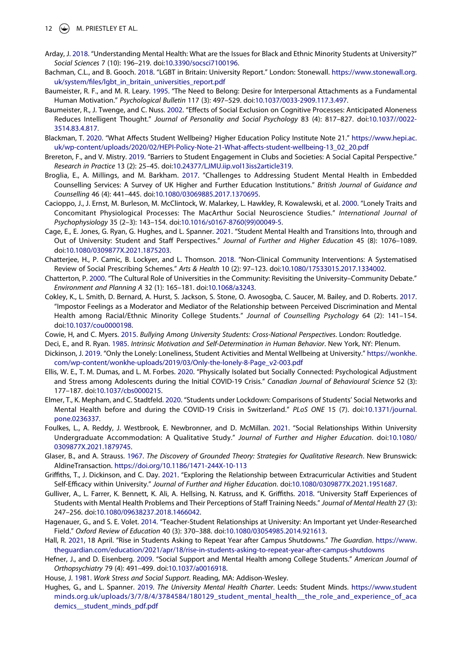- <span id="page-13-10"></span>Arday, J. [2018.](#page-4-0) "Understanding Mental Health: What are the Issues for Black and Ethnic Minority Students at University?" *Social Sciences* 7 (10): 196–219. doi:[10.3390/socsci7100196.](https://doi.org/10.3390/socsci7100196)
- <span id="page-13-12"></span>Bachman, C.L., and B. Gooch. [2018.](#page-4-1) "LGBT in Britain: University Report." London: Stonewall. [https://www.stonewall.org.](https://www.stonewall.org.uk/system/files/lgbt_in_britain_universities_report.pdf) uk/system/files/lgbt\_in\_britain\_universities\_report.pdf
- <span id="page-13-2"></span>Baumeister, R. F., and M. R. Leary. [1995.](#page-3-2) "The Need to Belong: Desire for Interpersonal Attachments as a Fundamental Human Motivation." *Psychological Bulletin* 117 (3): 497–529. doi:[10.1037/0033-2909.117.3.497.](https://doi.org/10.1037/0033-2909.117.3.497)
- <span id="page-13-8"></span>Baumeister, R., J. Twenge, and C. Nuss. [2002.](#page-4-2) "Effects of Social Exclusion on Cognitive Processes: Anticipated Aloneness Reduces Intelligent Thought." *Journal of Personality and Social Psychology* 83 (4): 817–827. doi:[10.1037//0022-](https://doi.org/10.1037//0022-3514.83.4.817) [3514.83.4.817](https://doi.org/10.1037//0022-3514.83.4.817).
- <span id="page-13-16"></span>Blackman, T. [2020.](#page-4-3) "What Affects Student Wellbeing? Higher Education Policy Institute Note 21." [https://www.hepi.ac.](https://www.hepi.ac.uk/wp-content/uploads/2020/02/HEPI-Policy-Note-21-What-affects-student-wellbeing-13_02_20.pdf) [uk/wp-content/uploads/2020/02/HEPI-Policy-Note-21-What-affects-student-wellbeing-13\\_02\\_20.pdf](https://www.hepi.ac.uk/wp-content/uploads/2020/02/HEPI-Policy-Note-21-What-affects-student-wellbeing-13_02_20.pdf)
- <span id="page-13-6"></span>Brereton, F., and V. Mistry. [2019](#page-3-3). "Barriers to Student Engagement in Clubs and Societies: A Social Capital Perspective." *Research in Practice* 13 (2): 25–45. doi:[10.24377/LJMU.iip.vol13iss2article319](https://doi.org/10.24377/LJMU.iip.vol13iss2article319).
- <span id="page-13-0"></span>Broglia, E., A. Millings, and M. Barkham. [2017](#page-2-4). "Challenges to Addressing Student Mental Health in Embedded Counselling Services: A Survey of UK Higher and Further Education Institutions." *British Journal of Guidance and Counselling* 46 (4): 441–445. doi:[10.1080/03069885.2017.1370695](https://doi.org/10.1080/03069885.2017.1370695).
- <span id="page-13-9"></span>Cacioppo, J., J. Ernst, M. Burleson, M. McClintock, W. Malarkey, L. Hawkley, R. Kowalewski, et al. [2000.](#page-4-2) "Lonely Traits and Concomitant Physiological Processes: The MacArthur Social Neuroscience Studies." *International Journal of Psychophysiology* 35 (2–3): 143–154. doi:[10.1016/s0167-8760\(99\)00049-5.](https://doi.org/10.1016/s0167-8760(99)00049-5)
- <span id="page-13-19"></span>Cage, E., E. Jones, G. Ryan, G. Hughes, and L. Spanner. [2021](#page-10-2). "Student Mental Health and Transitions Into, through and Out of University: Student and Staff Perspectives." *Journal of Further and Higher Education* 45 (8): 1076–1089. doi:[10.1080/0309877X.2021.1875203](https://doi.org/10.1080/0309877X.2021.1875203).
- <span id="page-13-20"></span>Chatterjee, H., P. Camic, B. Lockyer, and L. Thomson. [2018](#page-10-3). "Non-Clinical Community Interventions: A Systematised Review of Social Prescribing Schemes." *Arts & Health* 10 (2): 97–123. doi:[10.1080/17533015.2017.1334002.](https://doi.org/10.1080/17533015.2017.1334002)
- <span id="page-13-22"></span>Chatterton, P. [2000.](#page-10-4) "The Cultural Role of Universities in the Community: Revisiting the University–Community Debate." *Environment and Planning A* 32 (1): 165–181. doi:[10.1068/a3243.](https://doi.org/10.1068/a3243)
- <span id="page-13-11"></span>Cokley, K., L. Smith, D. Bernard, A. Hurst, S. Jackson, S. Stone, O. Awosogba, C. Saucer, M. Bailey, and D. Roberts. [2017.](#page-4-4) "Impostor Feelings as a Moderator and Mediator of the Relationship between Perceived Discrimination and Mental Health among Racial/Ethnic Minority College Students." *Journal of Counselling Psychology* 64 (2): 141–154. doi:[10.1037/cou0000198.](https://doi.org/10.1037/cou0000198)
- <span id="page-13-13"></span>Cowie, H, and C. Myers. [2015.](#page-4-5) *Bullying Among University Students: Cross-National Perspectives*. London: Routledge.
- <span id="page-13-14"></span>Deci, E., and R. Ryan. [1985](#page-4-6). *Intrinsic Motivation and Self-Determination in Human Behavior*. New York, NY: Plenum.
- <span id="page-13-7"></span>Dickinson, J. [2019](#page-3-4). "Only the Lonely: Loneliness, Student Activities and Mental Wellbeing at University." [https://wonkhe.](https://wonkhe.com/wp-content/wonkhe-uploads/2019/03/Only-the-lonely-8-Page_v2-003.pdf) [com/wp-content/wonkhe-uploads/2019/03/Only-the-lonely-8-Page\\_v2-003.pdf](https://wonkhe.com/wp-content/wonkhe-uploads/2019/03/Only-the-lonely-8-Page_v2-003.pdf)
- <span id="page-13-24"></span>Ellis, W. E., T. M. Dumas, and L. M. Forbes. [2020](#page-10-5). "Physically Isolated but Socially Connected: Psychological Adjustment and Stress among Adolescents during the Initial COVID-19 Crisis." *Canadian Journal of Behavioural Science* 52 (3): 177–187. doi:[10.1037/cbs0000215](https://doi.org/10.1037/cbs0000215).
- <span id="page-13-23"></span>Elmer, T., K. Mepham, and C. Stadtfeld. [2020](#page-10-6). "Students under Lockdown: Comparisons of Students' Social Networks and Mental Health before and during the COVID-19 Crisis in Switzerland." *PLoS ONE* 15 (7). doi:[10.1371/journal.](https://doi.org/10.1371/journal.pone.0236337) [pone.0236337.](https://doi.org/10.1371/journal.pone.0236337)
- <span id="page-13-5"></span>Foulkes, L., A. Reddy, J. Westbrook, E. Newbronner, and D. McMillan. [2021.](#page-3-5) "Social Relationships Within University Undergraduate Accommodation: A Qualitative Study." *Journal of Further and Higher Education*. doi:[10.1080/](https://doi.org/10.1080/0309877X.2021.1879745) [0309877X.2021.1879745.](https://doi.org/10.1080/0309877X.2021.1879745)
- <span id="page-13-17"></span>Glaser, B., and A. Strauss. [1967](#page-5-0). *The Discovery of Grounded Theory: Strategies for Qualitative Research*. New Brunswick: AldineTransaction. <https://doi.org/10.1186/1471-244X-10-113>
- <span id="page-13-18"></span>Griffiths, T., J. Dickinson, and C. Day. [2021](#page-10-7). "Exploring the Relationship between Extracurricular Activities and Student Self-Efficacy within University." *Journal of Further and Higher Education*. doi:[10.1080/0309877X.2021.1951687.](https://doi.org/10.1080/0309877X.2021.1951687)
- <span id="page-13-21"></span>Gulliver, A., L. Farrer, K. Bennett, K. Ali, A. Hellsing, N. Katruss, and K. Griffiths. [2018](#page-10-8). "University Staff Experiences of Students with Mental Health Problems and Their Perceptions of Staff Training Needs." *Journal of Mental Health* 27 (3): 247–256. doi:[10.1080/09638237.2018.1466042](https://doi.org/10.1080/09638237.2018.1466042).
- <span id="page-13-15"></span>Hagenauer, G., and S. E. Volet. [2014](#page-4-7). "Teacher-Student Relationships at University: An Important yet Under-Researched Field." *Oxford Review of Education* 40 (3): 370–388. doi:[10.1080/03054985.2014.921613.](https://doi.org/10.1080/03054985.2014.921613)
- <span id="page-13-25"></span>Hall, R. [2021,](#page-10-9) 18 April. "Rise in Students Asking to Repeat Year after Campus Shutdowns." *The Guardian*. [https://www.](https://www.theguardian.com/education/2021/apr/18/rise-in-students-asking-to-repeat-year-after-campus-shutdowns) [theguardian.com/education/2021/apr/18/rise-in-students-asking-to-repeat-year-after-campus-shutdowns](https://www.theguardian.com/education/2021/apr/18/rise-in-students-asking-to-repeat-year-after-campus-shutdowns)
- <span id="page-13-3"></span>Hefner, J., and D. Eisenberg. [2009.](#page-3-6) "Social Support and Mental Health among College Students." *American Journal of Orthopsychiatry* 79 (4): 491–499. doi:[10.1037/a0016918.](https://doi.org/10.1037/a0016918)
- <span id="page-13-4"></span>House, J. [1981](#page-3-7). *Work Stress and Social Support*. Reading, MA: Addison-Wesley.
- <span id="page-13-1"></span>Hughes, G., and L. Spanner. [2019](#page-2-5). *The University Mental Health Charter*. Leeds: Student Minds. [https://www.student](https://www.studentminds.org.uk/uploads/3/7/8/4/3784584/180129_student_mental_health__the_role_and_experience_of_academics__student_minds_pdf.pdf) [minds.org.uk/uploads/3/7/8/4/3784584/180129\\_student\\_mental\\_health\\_\\_the\\_role\\_and\\_experience\\_of\\_aca](https://www.studentminds.org.uk/uploads/3/7/8/4/3784584/180129_student_mental_health__the_role_and_experience_of_academics__student_minds_pdf.pdf) demics student minds pdf.pdf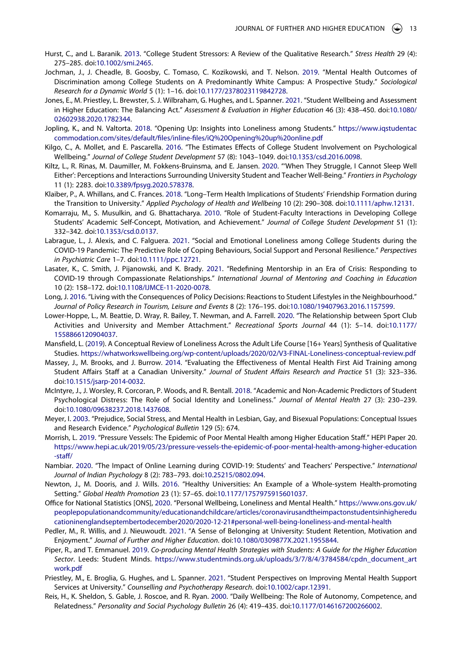- <span id="page-14-2"></span>Hurst, C., and L. Baranik. [2013](#page-2-6). "College Student Stressors: A Review of the Qualitative Research." *Stress Health* 29 (4): 275–285. doi:[10.1002/smi.2465.](https://doi.org/10.1002/smi.2465)
- <span id="page-14-10"></span>Jochman, J., J. Cheadle, B. Goosby, C. Tomaso, C. Kozikowski, and T. Nelson. [2019.](#page-4-4) "Mental Health Outcomes of Discrimination among College Students on A Predominantly White Campus: A Prospective Study." *Sociological Research for a Dynamic World* 5 (1): 1–16. doi:[10.1177/2378023119842728.](https://doi.org/10.1177/2378023119842728)
- <span id="page-14-15"></span>Jones, E., M. Priestley, L. Brewster, S. J. Wilbraham, G. Hughes, and L. Spanner. [2021](#page-5-1). "Student Wellbeing and Assessment in Higher Education: The Balancing Act." *Assessment & Evaluation in Higher Education* 46 (3): 438–450. doi:[10.1080/](https://doi.org/10.1080/02602938.2020.1782344) [02602938.2020.1782344](https://doi.org/10.1080/02602938.2020.1782344).
- <span id="page-14-3"></span>Jopling, K., and N. Valtorta. [2018.](#page-2-7) "Opening Up: Insights into Loneliness among Students." [https://www.iqstudentac](https://www.iqstudentaccommodation.com/sites/default/files/inline-files/iQ%20Opening%20up%20online.pdf) [commodation.com/sites/default/files/inline-files/iQ%20Opening%20up%20online.pdf](https://www.iqstudentaccommodation.com/sites/default/files/inline-files/iQ%20Opening%20up%20online.pdf)
- <span id="page-14-17"></span>Kilgo, C., A. Mollet, and E. Pascarella. [2016](#page-10-10). "The Estimates Effects of College Student Involvement on Psychological Wellbeing." *Journal of College Student Development* 57 (8): 1043–1049. doi:[10.1353/csd.2016.0098.](https://doi.org/10.1353/csd.2016.0098)
- <span id="page-14-12"></span>Kiltz, L., R. Rinas, M. Daumiller, M. Fokkens-Bruinsma, and E. Jansen. [2020](#page-4-8). "'When They Struggle, I Cannot Sleep Well Either': Perceptions and Interactions Surrounding University Student and Teacher Well-Being." *Frontiers in Psychology*  11 (1): 2283. doi:[10.3389/fpsyg.2020.578378](https://doi.org/10.3389/fpsyg.2020.578378).
- <span id="page-14-7"></span>Klaiber, P., A. Whillans, and C. Frances. [2018](#page-3-8). "Long–Term Health Implications of Students' Friendship Formation during the Transition to University." *Applied Psychology of Health and Wellbeing* 10 (2): 290–308. doi:[10.1111/aphw.12131.](https://doi.org/10.1111/aphw.12131)
- <span id="page-14-13"></span>Komarraju, M., S. Musulkin, and G. Bhattacharya. [2010.](#page-4-7) "Role of Student-Faculty Interactions in Developing College Students' Academic Self-Concept, Motivation, and Achievement." *Journal of College Student Development* 51 (1): 332–342. doi:[10.1353/csd.0.0137](https://doi.org/10.1353/csd.0.0137).
- <span id="page-14-21"></span>Labrague, L., J. Alexis, and C. Falguera. [2021.](#page-10-11) "Social and Emotional Loneliness among College Students during the COVID-19 Pandemic: The Predictive Role of Coping Behaviours, Social Support and Personal Resilience." *Perspectives in Psychiatric Care* 1–7. doi:[10.1111/ppc.12721.](https://doi.org/10.1111/ppc.12721)
- <span id="page-14-23"></span>Lasater, K., C. Smith, J. Pijanowski, and K. Brady. [2021](#page-10-12). "Redefining Mentorship in an Era of Crisis: Responding to COVID-19 through Compassionate Relationships." *International Journal of Mentoring and Coaching in Education*  10 (2): 158–172. doi:[10.1108/IJMCE-11-2020-0078](https://doi.org/10.1108/IJMCE-11-2020-0078).
- <span id="page-14-6"></span>Long, J. [2016.](#page-3-9) "Living with the Consequences of Policy Decisions: Reactions to Student Lifestyles in the Neighbourhood." *Journal of Policy Research in Tourism, Leisure and Events* 8 (2): 176–195. doi:[10.1080/19407963.2016.1157599](https://doi.org/10.1080/19407963.2016.1157599).
- <span id="page-14-18"></span>Lower-Hoppe, L., M. Beattie, D. Wray, R. Bailey, T. Newman, and A. Farrell. [2020.](#page-10-13) "The Relationship between Sport Club Activities and University and Member Attachment." *Recreational Sports Journal* 44 (1): 5–14. doi:[10.1177/](https://doi.org/10.1177/1558866120904037) [1558866120904037.](https://doi.org/10.1177/1558866120904037)
- <span id="page-14-8"></span>Mansfield, L. [\(2019\)](#page-3-6). A Conceptual Review of Loneliness Across the Adult Life Course [16+ Years] Synthesis of Qualitative Studies. <https://whatworkswellbeing.org/wp-content/uploads/2020/02/V3-FINAL-Loneliness-conceptual-review.pdf>
- <span id="page-14-20"></span>Massey, J., M. Brooks, and J. Burrow. [2014.](#page-10-8) "Evaluating the Effectiveness of Mental Health First Aid Training among Student Affairs Staff at a Canadian University." *Journal of Student Affairs Research and Practice* 51 (3): 323–336. doi:[10.1515/jsarp-2014-0032](https://doi.org/10.1515/jsarp-2014-0032).
- <span id="page-14-1"></span>McIntyre, J., J. Worsley, R. Corcoran, P. Woods, and R. Bentall. [2018](#page-2-6). "Academic and Non-Academic Predictors of Student Psychological Distress: The Role of Social Identity and Loneliness." *Journal of Mental Health* 27 (3): 230–239. doi:[10.1080/09638237.2018.1437608.](https://doi.org/10.1080/09638237.2018.1437608)
- <span id="page-14-9"></span>Meyer, I. [2003](#page-4-9). "Prejudice, Social Stress, and Mental Health in Lesbian, Gay, and Bisexual Populations: Conceptual Issues and Research Evidence." *Psychological Bulletin* 129 (5): 674.
- <span id="page-14-19"></span>Morrish, L. [2019](#page-10-14). "Pressure Vessels: The Epidemic of Poor Mental Health among Higher Education Staff." HEPI Paper 20. [https://www.hepi.ac.uk/2019/05/23/pressure-vessels-the-epidemic-of-poor-mental-health-among-higher-education](https://www.hepi.ac.uk/2019/05/23/pressure-vessels-the-epidemic-of-poor-mental-health-among-higher-education-staff/) [-staff/](https://www.hepi.ac.uk/2019/05/23/pressure-vessels-the-epidemic-of-poor-mental-health-among-higher-education-staff/)
- <span id="page-14-22"></span>Nambiar. [2020](#page-10-9). "The Impact of Online Learning during COVID-19: Students' and Teachers' Perspective." *International Journal of Indian Psychology* 8 (2): 783–793. doi:[10.25215/0802.094.](https://doi.org/10.25215/0802.094)
- <span id="page-14-4"></span>Newton, J., M. Dooris, and J. Wills. [2016.](#page-2-8) "Healthy Universities: An Example of a Whole-system Health-promoting Setting." *Global Health Promotion* 23 (1): 57–65. doi:[10.1177/1757975915601037.](https://doi.org/10.1177/1757975915601037)
- <span id="page-14-0"></span>Office for National Statistics [ONS], [2020.](#page-2-9) "Personal Wellbeing, Loneliness and Mental Health." [https://www.ons.gov.uk/](https://www.ons.gov.uk/peoplepopulationandcommunity/educationandchildcare/articles/coronavirusandtheimpactonstudentsinhighereducationinenglandseptembertodecember2020/2020-12-21#personal-well-being-loneliness-and-mental-health) [peoplepopulationandcommunity/educationandchildcare/articles/coronavirusandtheimpactonstudentsinhigheredu](https://www.ons.gov.uk/peoplepopulationandcommunity/educationandchildcare/articles/coronavirusandtheimpactonstudentsinhighereducationinenglandseptembertodecember2020/2020-12-21#personal-well-being-loneliness-and-mental-health) [cationinenglandseptembertodecember2020/2020-12-21#personal-well-being-loneliness-and-mental-health](https://www.ons.gov.uk/peoplepopulationandcommunity/educationandchildcare/articles/coronavirusandtheimpactonstudentsinhighereducationinenglandseptembertodecember2020/2020-12-21#personal-well-being-loneliness-and-mental-health)
- <span id="page-14-5"></span>Pedler, M., R. Willis, and J. Nieuwoudt. [2021](#page-3-10). "A Sense of Belonging at University: Student Retention, Motivation and Enjoyment." *Journal of Further and Higher Education*. doi:[10.1080/0309877X.2021.1955844.](https://doi.org/10.1080/0309877X.2021.1955844)
- <span id="page-14-14"></span>Piper, R., and T. Emmanuel. [2019.](#page-5-2) *Co-producing Mental Health Strategies with Students: A Guide for the Higher Education Sector*. Leeds: Student Minds. [https://www.studentminds.org.uk/uploads/3/7/8/4/3784584/cpdn\\_document\\_art](https://www.studentminds.org.uk/uploads/3/7/8/4/3784584/cpdn_document_artwork.pdf) [work.pdf](https://www.studentminds.org.uk/uploads/3/7/8/4/3784584/cpdn_document_artwork.pdf)
- <span id="page-14-16"></span>Priestley, M., E. Broglia, G. Hughes, and L. Spanner. [2021.](#page-5-3) "Student Perspectives on Improving Mental Health Support Services at University." *Counselling and Psychotherapy Research*. doi:[10.1002/capr.12391](https://doi.org/10.1002/capr.12391).
- <span id="page-14-11"></span>Reis, H., K. Sheldon, S. Gable, J. Roscoe, and R. Ryan. [2000.](#page-4-10) "Daily Wellbeing: The Role of Autonomy, Competence, and Relatedness." *Personality and Social Psychology Bulletin* 26 (4): 419–435. doi:[10.1177/0146167200266002](https://doi.org/10.1177/0146167200266002).